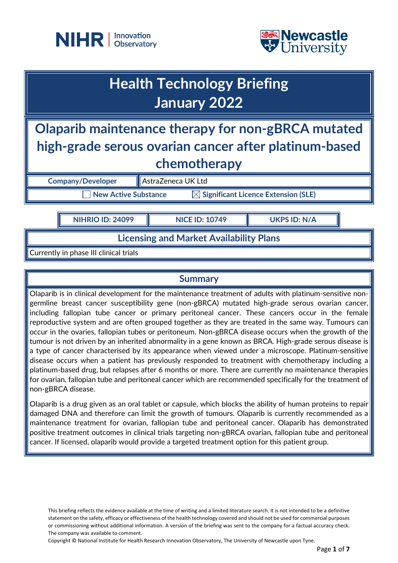



# **Health Technology Briefing January 2022**

## **Olaparib maintenance therapy for non-gBRCA mutated high-grade serous ovarian cancer after platinum-based chemotherapy**

**Company/Developer AstraZeneca UK Ltd** 

**New Active Substance MET Significant Licence Extension (SLE)** 

**NIHRIO ID: 24099 NICE ID: 10749 UKPS ID: N/A**

## **Licensing and Market Availability Plans**

Currently in phase III clinical trials

## **Summary**

Olaparib is in clinical development for the maintenance treatment of adults with platinum-sensitive nongermline breast cancer susceptibility gene (non-gBRCA) mutated high-grade serous ovarian cancer, including fallopian tube cancer or primary peritoneal cancer. These cancers occur in the female reproductive system and are often grouped together as they are treated in the same way. Tumours can occur in the ovaries, fallopian tubes or peritoneum. Non-gBRCA disease occurs when the growth of the tumour is not driven by an inherited abnormality in a gene known as BRCA. High-grade serous disease is a type of cancer characterised by its appearance when viewed under a microscope. Platinum-sensitive disease occurs when a patient has previously responded to treatment with chemotherapy including a platinum-based drug, but relapses after 6 months or more. There are currently no maintenance therapies for ovarian, fallopian tube and peritoneal cancer which are recommended specifically for the treatment of non-gBRCA disease.

Olaparib is a drug given as an oral tablet or capsule, which blocks the ability of human proteins to repair damaged DNA and therefore can limit the growth of tumours. Olaparib is currently recommended as a maintenance treatment for ovarian, fallopian tube and peritoneal cancer. Olaparib has demonstrated positive treatment outcomes in clinical trials targeting non-gBRCA ovarian, fallopian tube and peritoneal cancer. If licensed, olaparib would provide a targeted treatment option for this patient group.

This briefing reflects the evidence available at the time of writing and a limited literature search. It is not intended to be a definitive statement on the safety, efficacy or effectiveness of the health technology covered and should not be used for commercial purposes or commissioning without additional information. A version of the briefing was sent to the company for a factual accuracy check. The company was available to comment.

Copyright © National Institute for Health Research Innovation Observatory, The University of Newcastle upon Tyne.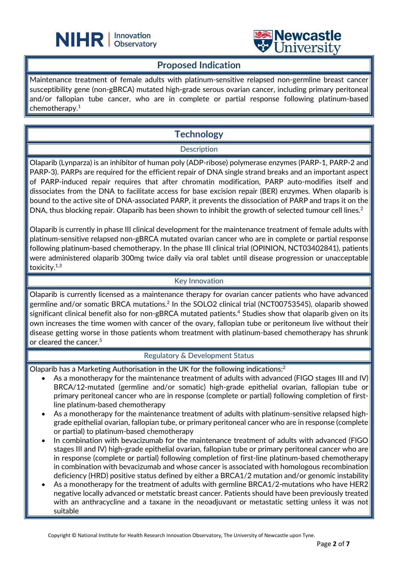



#### **Proposed Indication**

L

Maintenance treatment of female adults with platinum-sensitive relapsed non-germline breast cancer susceptibility gene (non-gBRCA) mutated high-grade serous ovarian cancer, including primary peritoneal and/or fallopian tube cancer, who are in complete or partial response following platinum-based chemotherapy. 1

## **Technology**

#### **Description**

Olaparib (Lynparza) is an inhibitor of human poly (ADP-ribose) polymerase enzymes (PARP-1, PARP-2 and PARP-3). PARPs are required for the efficient repair of DNA single strand breaks and an important aspect of PARP-induced repair requires that after chromatin modification, PARP auto-modifies itself and dissociates from the DNA to facilitate access for base excision repair (BER) enzymes. When olaparib is bound to the active site of DNA-associated PARP, it prevents the dissociation of PARP and traps it on the DNA, thus blocking repair. Olaparib has been shown to inhibit the growth of selected tumour cell lines.<sup>2</sup>

Olaparib is currently in phase III clinical development for the maintenance treatment of female adults with platinum-sensitive relapsed non-gBRCA mutated ovarian cancer who are in complete or partial response following platinum-based chemotherapy. In the phase III clinical trial (OPINION, NCT03402841), patients were administered olaparib 300mg twice daily via oral tablet until disease progression or unacceptable toxicity.<sup>1,3</sup>

#### Key Innovation

Olaparib is currently licensed as a maintenance therapy for ovarian cancer patients who have advanced germline and/or somatic BRCA mutations.<sup>2</sup> In the SOLO2 clinical trial (NCT00753545), olaparib showed significant clinical benefit also for non-gBRCA mutated patients.<sup>4</sup> Studies show that olaparib given on its own increases the time women with cancer of the ovary, fallopian tube or peritoneum live without their disease getting worse in those patients whom treatment with platinum-based chemotherapy has shrunk or cleared the cancer. 5

#### Regulatory & Development Status

Olaparib has a Marketing Authorisation in the UK for the following indications: $2$ 

- As a monotherapy for the maintenance treatment of adults with advanced (FIGO stages III and IV) BRCA/12-mutated (germline and/or somatic) high-grade epithelial ovarian, fallopian tube or primary peritoneal cancer who are in response (complete or partial) following completion of firstline platinum-based chemotherapy
- As a monotherapy for the maintenance treatment of adults with platinum-sensitive relapsed highgrade epithelial ovarian, fallopian tube, or primary peritoneal cancer who are in response (complete or partial) to platinum-based chemotherapy
- In combination with bevacizumab for the maintenance treatment of adults with advanced (FIGO stages III and IV) high-grade epithelial ovarian, fallopian tube or primary peritoneal cancer who are in response (complete or partial) following completion of first-line platinum-based chemotherapy in combination with bevacizumab and whose cancer is associated with homologous recombination deficiency (HRD) positive status defined by either a BRCA1/2 mutation and/or genomic instability
- As a monotherapy for the treatment of adults with germline BRCA1/2-mutations who have HER2 negative locally advanced or metstatic breast cancer. Patients should have been previously treated with an anthracycline and a taxane in the neoadjuvant or metastatic setting unless it was not suitable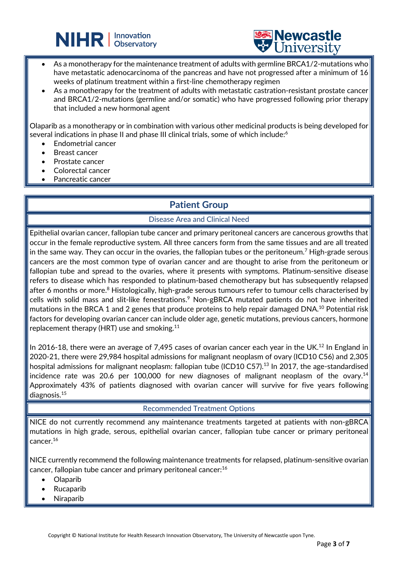



• As a monotherapy for the maintenance treatment of adults with germline BRCA1/2-mutations who have metastatic adenocarcinoma of the pancreas and have not progressed after a minimum of 16 weeks of platinum treatment within a first-line chemotherapy regimen

L

As a monotherapy for the treatment of adults with metastatic castration-resistant prostate cancer and BRCA1/2-mutations (germline and/or somatic) who have progressed following prior therapy that included a new hormonal agent

Olaparib as a monotherapy or in combination with various other medicinal products is being developed for several indications in phase II and phase III clinical trials, some of which include: 6

- Endometrial cancer
- Breast cancer
- Prostate cancer
- Colorectal cancer
- Pancreatic cancer

## **Patient Group**

#### Disease Area and Clinical Need

Epithelial ovarian cancer, fallopian tube cancer and primary peritoneal cancers are cancerous growths that occur in the female reproductive system. All three cancers form from the same tissues and are all treated in the same way. They can occur in the ovaries, the fallopian tubes or the peritoneum.<sup>7</sup> High-grade serous cancers are the most common type of ovarian cancer and are thought to arise from the peritoneum or fallopian tube and spread to the ovaries, where it presents with symptoms. Platinum-sensitive disease refers to disease which has responded to platinum-based chemotherapy but has subsequently relapsed after 6 months or more.<sup>8</sup> Histologically, high-grade serous tumours refer to tumour cells characterised by cells with solid mass and slit-like fenestrations.<sup>9</sup> Non-gBRCA mutated patients do not have inherited mutations in the BRCA 1 and 2 genes that produce proteins to help repair damaged DNA.<sup>10</sup> Potential risk factors for developing ovarian cancer can include older age, genetic mutations, previous cancers, hormone replacement therapy (HRT) use and smoking.11

In 2016-18, there were an average of 7,495 cases of ovarian cancer each year in the UK.<sup>12</sup> In England in 2020-21, there were 29,984 hospital admissions for malignant neoplasm of ovary (ICD10 C56) and 2,305 hospital admissions for malignant neoplasm: fallopian tube (ICD10 C57).<sup>13</sup> In 2017, the age-standardised incidence rate was 20.6 per 100,000 for new diagnoses of malignant neoplasm of the ovary.<sup>14</sup> Approximately 43% of patients diagnosed with ovarian cancer will survive for five years following diagnosis.15

#### Recommended Treatment Options

NICE do not currently recommend any maintenance treatments targeted at patients with non-gBRCA mutations in high grade, serous, epithelial ovarian cancer, fallopian tube cancer or primary peritoneal cancer.16

NICE currently recommend the following maintenance treatments for relapsed, platinum-sensitive ovarian cancer, fallopian tube cancer and primary peritoneal cancer:<sup>16</sup>

- **Olaparib**
- Rucaparib
- **Niraparib**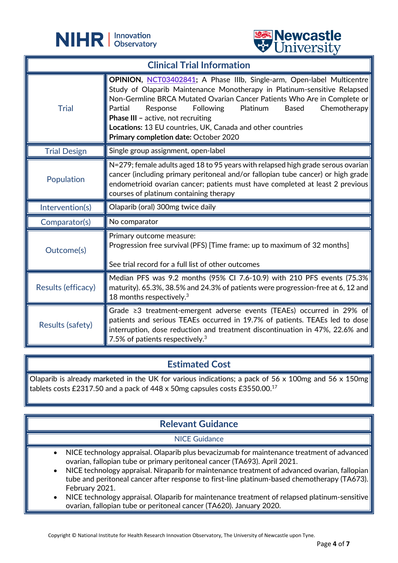

L



| <b>Clinical Trial Information</b> |                                                                                                                                                                                                                                                                                                                                                                                                                                                                           |
|-----------------------------------|---------------------------------------------------------------------------------------------------------------------------------------------------------------------------------------------------------------------------------------------------------------------------------------------------------------------------------------------------------------------------------------------------------------------------------------------------------------------------|
| <b>Trial</b>                      | OPINION, NCT03402841; A Phase IIIb, Single-arm, Open-label Multicentre<br>Study of Olaparib Maintenance Monotherapy in Platinum-sensitive Relapsed<br>Non-Germline BRCA Mutated Ovarian Cancer Patients Who Are in Complete or<br>Platinum<br><b>Following</b><br><b>Based</b><br>Chemotherapy<br>Partial<br>Response<br><b>Phase III - active, not recruiting</b><br>Locations: 13 EU countries, UK, Canada and other countries<br>Primary completion date: October 2020 |
| <b>Trial Design</b>               | Single group assignment, open-label                                                                                                                                                                                                                                                                                                                                                                                                                                       |
| Population                        | N=279; female adults aged 18 to 95 years with relapsed high grade serous ovarian<br>cancer (including primary peritoneal and/or fallopian tube cancer) or high grade<br>endometrioid ovarian cancer; patients must have completed at least 2 previous<br>courses of platinum containing therapy                                                                                                                                                                           |
| Intervention(s)                   | Olaparib (oral) 300mg twice daily                                                                                                                                                                                                                                                                                                                                                                                                                                         |
| Comparator(s)                     | No comparator                                                                                                                                                                                                                                                                                                                                                                                                                                                             |
| Outcome(s)                        | Primary outcome measure:<br>Progression free survival (PFS) [Time frame: up to maximum of 32 months]<br>See trial record for a full list of other outcomes                                                                                                                                                                                                                                                                                                                |
| Results (efficacy)                | Median PFS was 9.2 months (95% CI 7.6-10.9) with 210 PFS events (75.3%<br>maturity). 65.3%, 38.5% and 24.3% of patients were progression-free at 6, 12 and<br>18 months respectively. $3$                                                                                                                                                                                                                                                                                 |
| Results (safety)                  | Grade $\geq 3$ treatment-emergent adverse events (TEAEs) occurred in 29% of<br>patients and serious TEAEs occurred in 19.7% of patients. TEAEs led to dose<br>interruption, dose reduction and treatment discontinuation in 47%, 22.6% and<br>7.5% of patients respectively. $3$                                                                                                                                                                                          |

## **Estimated Cost**

Olaparib is already marketed in the UK for various indications; a pack of 56 x 100mg and 56 x 150mg tablets costs £2317.50 and a pack of 448 x 50mg capsules costs £3550.00.17

## **Relevant Guidance**

#### NICE Guidance

- NICE technology appraisal. Olaparib plus bevacizumab for maintenance treatment of advanced ovarian, fallopian tube or primary peritoneal cancer (TA693). April 2021.
- NICE technology appraisal. Niraparib for maintenance treatment of advanced ovarian, fallopian tube and peritoneal cancer after response to first-line platinum-based chemotherapy (TA673). February 2021.
- NICE technology appraisal. Olaparib for maintenance treatment of relapsed platinum-sensitive ovarian, fallopian tube or peritoneal cancer (TA620). January 2020.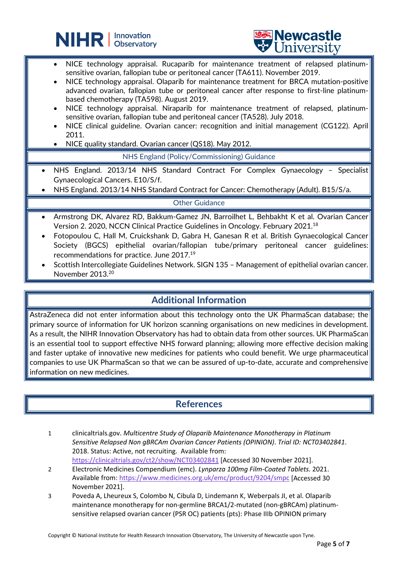



- NICE technology appraisal. Rucaparib for maintenance treatment of relapsed platinumsensitive ovarian, fallopian tube or peritoneal cancer (TA611). November 2019.
- NICE technology appraisal. Olaparib for maintenance treatment for BRCA mutation-positive advanced ovarian, fallopian tube or peritoneal cancer after response to first-line platinumbased chemotherapy (TA598). August 2019.
- NICE technology appraisal. Niraparib for maintenance treatment of relapsed, platinumsensitive ovarian, fallopian tube and peritoneal cancer (TA528). July 2018.
- NICE clinical guideline. Ovarian cancer: recognition and initial management (CG122). April 2011.
- NICE quality standard. Ovarian cancer (QS18). May 2012.

L

NHS England (Policy/Commissioning) Guidance

- NHS England. 2013/14 NHS Standard Contract For Complex Gynaecology Specialist Gynaecological Cancers. E10/S/f.
- NHS England. 2013/14 NHS Standard Contract for Cancer: Chemotherapy (Adult). B15/S/a.

#### Other Guidance

- Armstrong DK, Alvarez RD, Bakkum-Gamez JN, Barroilhet L, Behbakht K et al. Ovarian Cancer Version 2. 2020, NCCN Clinical Practice Guidelines in Oncology. February 2021.18
- Fotopoulou C, Hall M, Cruickshank D, Gabra H, Ganesan R et al. British Gynaecological Cancer Society (BGCS) epithelial ovarian/fallopian tube/primary peritoneal cancer guidelines: recommendations for practice. June 2017.19
- Scottish Intercollegiate Guidelines Network. SIGN 135 Management of epithelial ovarian cancer. November 2013.20

## **Additional Information**

AstraZeneca did not enter information about this technology onto the UK PharmaScan database; the primary source of information for UK horizon scanning organisations on new medicines in development. As a result, the NIHR Innovation Observatory has had to obtain data from other sources. UK PharmaScan is an essential tool to support effective NHS forward planning; allowing more effective decision making and faster uptake of innovative new medicines for patients who could benefit. We urge pharmaceutical companies to use UK PharmaScan so that we can be assured of up-to-date, accurate and comprehensive information on new medicines.

## **References**

- 1 clinicaltrials.gov. *Multicentre Study of Olaparib Maintenance Monotherapy in Platinum Sensitive Relapsed Non gBRCAm Ovarian Cancer Patients (OPINION)*. *Trial ID: NCT03402841*. 2018. Status: Active, not recruiting. Available from: <https://clinicaltrials.gov/ct2/show/NCT03402841> [Accessed 30 November 2021].
- 2 Electronic Medicines Compendium (emc). *Lynparza 100mg Film-Coated Tablets.* 2021. Available from:<https://www.medicines.org.uk/emc/product/9204/smpc> [Accessed 30 November 2021].
- 3 Poveda A, Lheureux S, Colombo N, Cibula D, Lindemann K, Weberpals JI, et al. Olaparib maintenance monotherapy for non-germline BRCA1/2-mutated (non-gBRCAm) platinumsensitive relapsed ovarian cancer (PSR OC) patients (pts): Phase IIIb OPINION primary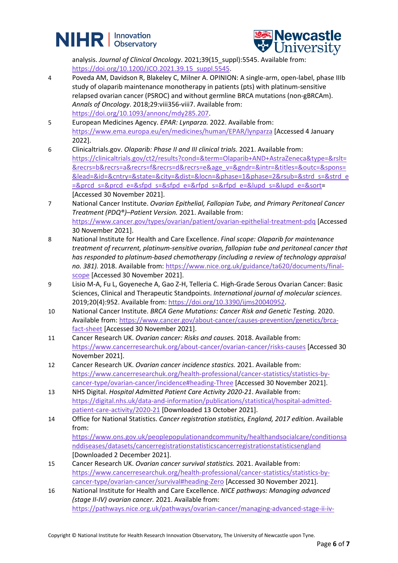



analysis. *Journal of Clinical Oncology*. 2021;39(15\_suppl):5545. Available from: [https://doi.org/10.1200/JCO.2021.39.15\\_suppl.5545.](https://doi.org/10.1200/JCO.2021.39.15_suppl.5545)

- 4 Poveda AM, Davidson R, Blakeley C, Milner A. OPINION: A single-arm, open-label, phase IIIb study of olaparib maintenance monotherapy in patients (pts) with platinum-sensitive relapsed ovarian cancer (PSROC) and without germline BRCA mutations (non-gBRCAm). *Annals of Oncology*. 2018;29:viii356-viii7. Available from: [https://doi.org/10.1093/annonc/mdy285.207.](https://doi.org/10.1093/annonc/mdy285.207)
- 5 European Medicines Agency. *EPAR: Lynparza.* 2022. Available from: <https://www.ema.europa.eu/en/medicines/human/EPAR/lynparza> [Accessed 4 January 2022].
- 6 Clinicaltrials.gov. *Olaparib: Phase II and III clinical trials.* 2021. Available from: [https://clinicaltrials.gov/ct2/results?cond=&term=Olaparib+AND+AstraZeneca&type=&rslt=](https://clinicaltrials.gov/ct2/results?cond=&term=Olaparib+AND+AstraZeneca&type=&rslt=&recrs=b&recrs=a&recrs=f&recrs=d&recrs=e&age_v=&gndr=&intr=&titles=&outc=&spons=&lead=&id=&cntry=&state=&city=&dist=&locn=&phase=1&phase=2&rsub=&strd_s=&strd_e=&prcd_s=&prcd_e=&sfpd_s=&sfpd_e=&rfpd_s=&rfpd_e=&lupd_s=&lupd_e=&sort) [&recrs=b&recrs=a&recrs=f&recrs=d&recrs=e&age\\_v=&gndr=&intr=&titles=&outc=&spons=](https://clinicaltrials.gov/ct2/results?cond=&term=Olaparib+AND+AstraZeneca&type=&rslt=&recrs=b&recrs=a&recrs=f&recrs=d&recrs=e&age_v=&gndr=&intr=&titles=&outc=&spons=&lead=&id=&cntry=&state=&city=&dist=&locn=&phase=1&phase=2&rsub=&strd_s=&strd_e=&prcd_s=&prcd_e=&sfpd_s=&sfpd_e=&rfpd_s=&rfpd_e=&lupd_s=&lupd_e=&sort) [&lead=&id=&cntry=&state=&city=&dist=&locn=&phase=1&phase=2&rsub=&strd\\_s=&strd\\_e](https://clinicaltrials.gov/ct2/results?cond=&term=Olaparib+AND+AstraZeneca&type=&rslt=&recrs=b&recrs=a&recrs=f&recrs=d&recrs=e&age_v=&gndr=&intr=&titles=&outc=&spons=&lead=&id=&cntry=&state=&city=&dist=&locn=&phase=1&phase=2&rsub=&strd_s=&strd_e=&prcd_s=&prcd_e=&sfpd_s=&sfpd_e=&rfpd_s=&rfpd_e=&lupd_s=&lupd_e=&sort) [=&prcd\\_s=&prcd\\_e=&sfpd\\_s=&sfpd\\_e=&rfpd\\_s=&rfpd\\_e=&lupd\\_s=&lupd\\_e=&sort=](https://clinicaltrials.gov/ct2/results?cond=&term=Olaparib+AND+AstraZeneca&type=&rslt=&recrs=b&recrs=a&recrs=f&recrs=d&recrs=e&age_v=&gndr=&intr=&titles=&outc=&spons=&lead=&id=&cntry=&state=&city=&dist=&locn=&phase=1&phase=2&rsub=&strd_s=&strd_e=&prcd_s=&prcd_e=&sfpd_s=&sfpd_e=&rfpd_s=&rfpd_e=&lupd_s=&lupd_e=&sort) [Accessed 30 November 2021].
- 7 National Cancer Institute. *Ovarian Epithelial, Fallopian Tube, and Primary Peritoneal Cancer Treatment (PDQ®)–Patient Version.* 2021. Available from: <https://www.cancer.gov/types/ovarian/patient/ovarian-epithelial-treatment-pdq> [Accessed 30 November 2021].
- 8 National Institute for Health and Care Excellence. *Final scope: Olaparib for maintenance treatment of recurrent, platinum-sensitive ovarian, fallopian tube and peritoneal cancer that has responded to platinum-based chemotherapy (including a review of technology appraisal no. 381).* 2018. Available from: [https://www.nice.org.uk/guidance/ta620/documents/final](https://www.nice.org.uk/guidance/ta620/documents/final-scope)[scope](https://www.nice.org.uk/guidance/ta620/documents/final-scope) [Accessed 30 November 2021].
- 9 Lisio M-A, Fu L, Goyeneche A, Gao Z-H, Telleria C. High-Grade Serous Ovarian Cancer: Basic Sciences, Clinical and Therapeutic Standpoints. *International journal of molecular sciences*. 2019;20(4):952. Available from: [https://doi.org/10.3390/ijms20040952.](https://doi.org/10.3390/ijms20040952)
- 10 National Cancer Institute. *BRCA Gene Mutations: Cancer Risk and Genetic Testing.* 2020. Available from: [https://www.cancer.gov/about-cancer/causes-prevention/genetics/brca](https://www.cancer.gov/about-cancer/causes-prevention/genetics/brca-fact-sheet)[fact-sheet](https://www.cancer.gov/about-cancer/causes-prevention/genetics/brca-fact-sheet) [Accessed 30 November 2021].
- 11 Cancer Research UK. *Ovarian cancer: Risks and causes.* 2018. Available from: <https://www.cancerresearchuk.org/about-cancer/ovarian-cancer/risks-causes> [Accessed 30 November 2021].
- 12 Cancer Research UK. *Ovarian cancer incidence stastics.* 2021. Available from: [https://www.cancerresearchuk.org/health-professional/cancer-statistics/statistics-by](https://www.cancerresearchuk.org/health-professional/cancer-statistics/statistics-by-cancer-type/ovarian-cancer/incidence#heading-Three)[cancer-type/ovarian-cancer/incidence#heading-Three](https://www.cancerresearchuk.org/health-professional/cancer-statistics/statistics-by-cancer-type/ovarian-cancer/incidence#heading-Three) [Accessed 30 November 2021].
- 13 NHS Digital. *Hospital Admitted Patient Care Activity 2020-21*. Available from: [https://digital.nhs.uk/data-and-information/publications/statistical/hospital-admitted](https://digital.nhs.uk/data-and-information/publications/statistical/hospital-admitted-patient-care-activity/2020-21)[patient-care-activity/2020-21](https://digital.nhs.uk/data-and-information/publications/statistical/hospital-admitted-patient-care-activity/2020-21) [Downloaded 13 October 2021].
- 14 Office for National Statistics. *Cancer registration statistics, England, 2017 edition*. Available from: [https://www.ons.gov.uk/peoplepopulationandcommunity/healthandsocialcare/conditionsa](https://www.ons.gov.uk/peoplepopulationandcommunity/healthandsocialcare/conditionsanddiseases/datasets/cancerregistrationstatisticscancerregistrationstatisticsengland) [nddiseases/datasets/cancerregistrationstatisticscancerregistrationstatisticsengland](https://www.ons.gov.uk/peoplepopulationandcommunity/healthandsocialcare/conditionsanddiseases/datasets/cancerregistrationstatisticscancerregistrationstatisticsengland) [Downloaded 2 December 2021].
- 15 Cancer Research UK. *Ovarian cancer survival statistics.* 2021. Available from: [https://www.cancerresearchuk.org/health-professional/cancer-statistics/statistics-by](https://www.cancerresearchuk.org/health-professional/cancer-statistics/statistics-by-cancer-type/ovarian-cancer/survival#heading-Zero)[cancer-type/ovarian-cancer/survival#heading-Zero](https://www.cancerresearchuk.org/health-professional/cancer-statistics/statistics-by-cancer-type/ovarian-cancer/survival#heading-Zero) [Accessed 30 November 2021].
- 16 National Institute for Health and Care Excellence. *NICE pathways: Managing advanced (stage II-IV) ovarian cancer.* 2021. Available from: [https://pathways.nice.org.uk/pathways/ovarian-cancer/managing-advanced-stage-ii-iv-](https://pathways.nice.org.uk/pathways/ovarian-cancer/managing-advanced-stage-ii-iv-ovarian-cancer#content=view-node%3Anodes-maintenance-treatment-after-second-line-and-subsequent-chemotherapy)